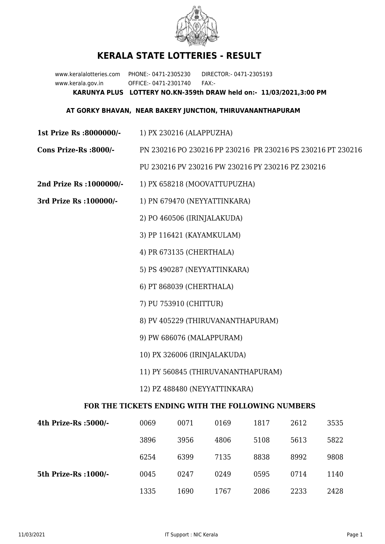

## **KERALA STATE LOTTERIES - RESULT**

www.keralalotteries.com PHONE:- 0471-2305230 DIRECTOR:- 0471-2305193 www.kerala.gov.in OFFICE:- 0471-2301740 FAX:- **KARUNYA PLUS LOTTERY NO.KN-359th DRAW held on:- 11/03/2021,3:00 PM**

## **AT GORKY BHAVAN, NEAR BAKERY JUNCTION, THIRUVANANTHAPURAM**

**1st Prize Rs :8000000/-** 1) PX 230216 (ALAPPUZHA)

**Cons Prize-Rs :8000/-** PN 230216 PO 230216 PP 230216 PR 230216 PS 230216 PT 230216

PU 230216 PV 230216 PW 230216 PY 230216 PZ 230216

- **2nd Prize Rs :1000000/-** 1) PX 658218 (MOOVATTUPUZHA)
- **3rd Prize Rs :100000/-** 1) PN 679470 (NEYYATTINKARA)

2) PO 460506 (IRINJALAKUDA)

3) PP 116421 (KAYAMKULAM)

4) PR 673135 (CHERTHALA)

5) PS 490287 (NEYYATTINKARA)

6) PT 868039 (CHERTHALA)

7) PU 753910 (CHITTUR)

- 8) PV 405229 (THIRUVANANTHAPURAM)
- 9) PW 686076 (MALAPPURAM)
- 10) PX 326006 (IRINJALAKUDA)
- 11) PY 560845 (THIRUVANANTHAPURAM)
- 12) PZ 488480 (NEYYATTINKARA)

## **FOR THE TICKETS ENDING WITH THE FOLLOWING NUMBERS**

| 4th Prize-Rs :5000/-  | 0069 | 0071 | 0169 | 1817 | 2612 | 3535 |
|-----------------------|------|------|------|------|------|------|
|                       | 3896 | 3956 | 4806 | 5108 | 5613 | 5822 |
|                       | 6254 | 6399 | 7135 | 8838 | 8992 | 9808 |
| 5th Prize-Rs : 1000/- | 0045 | 0247 | 0249 | 0595 | 0714 | 1140 |
|                       | 1335 | 1690 | 1767 | 2086 | 2233 | 2428 |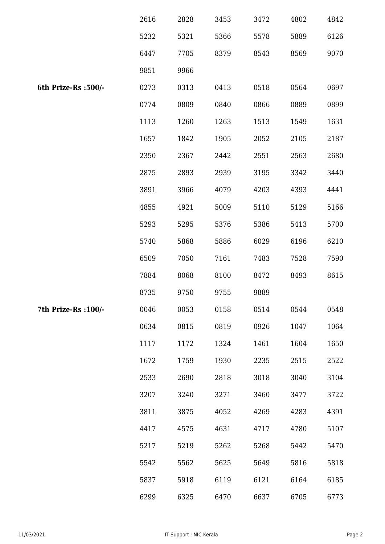|                      | 2616 | 2828 | 3453 | 3472 | 4802 | 4842 |
|----------------------|------|------|------|------|------|------|
|                      | 5232 | 5321 | 5366 | 5578 | 5889 | 6126 |
|                      | 6447 | 7705 | 8379 | 8543 | 8569 | 9070 |
|                      | 9851 | 9966 |      |      |      |      |
| 6th Prize-Rs : 500/- | 0273 | 0313 | 0413 | 0518 | 0564 | 0697 |
|                      | 0774 | 0809 | 0840 | 0866 | 0889 | 0899 |
|                      | 1113 | 1260 | 1263 | 1513 | 1549 | 1631 |
|                      | 1657 | 1842 | 1905 | 2052 | 2105 | 2187 |
|                      | 2350 | 2367 | 2442 | 2551 | 2563 | 2680 |
|                      | 2875 | 2893 | 2939 | 3195 | 3342 | 3440 |
|                      | 3891 | 3966 | 4079 | 4203 | 4393 | 4441 |
|                      | 4855 | 4921 | 5009 | 5110 | 5129 | 5166 |
|                      | 5293 | 5295 | 5376 | 5386 | 5413 | 5700 |
|                      | 5740 | 5868 | 5886 | 6029 | 6196 | 6210 |
|                      | 6509 | 7050 | 7161 | 7483 | 7528 | 7590 |
|                      | 7884 | 8068 | 8100 | 8472 | 8493 | 8615 |
|                      | 8735 | 9750 | 9755 | 9889 |      |      |
| 7th Prize-Rs : 100/- | 0046 | 0053 | 0158 | 0514 | 0544 | 0548 |
|                      | 0634 | 0815 | 0819 | 0926 | 1047 | 1064 |
|                      | 1117 | 1172 | 1324 | 1461 | 1604 | 1650 |
|                      | 1672 | 1759 | 1930 | 2235 | 2515 | 2522 |
|                      | 2533 | 2690 | 2818 | 3018 | 3040 | 3104 |
|                      | 3207 | 3240 | 3271 | 3460 | 3477 | 3722 |
|                      | 3811 | 3875 | 4052 | 4269 | 4283 | 4391 |
|                      | 4417 | 4575 | 4631 | 4717 | 4780 | 5107 |
|                      | 5217 | 5219 | 5262 | 5268 | 5442 | 5470 |
|                      | 5542 | 5562 | 5625 | 5649 | 5816 | 5818 |
|                      | 5837 | 5918 | 6119 | 6121 | 6164 | 6185 |
|                      | 6299 | 6325 | 6470 | 6637 | 6705 | 6773 |